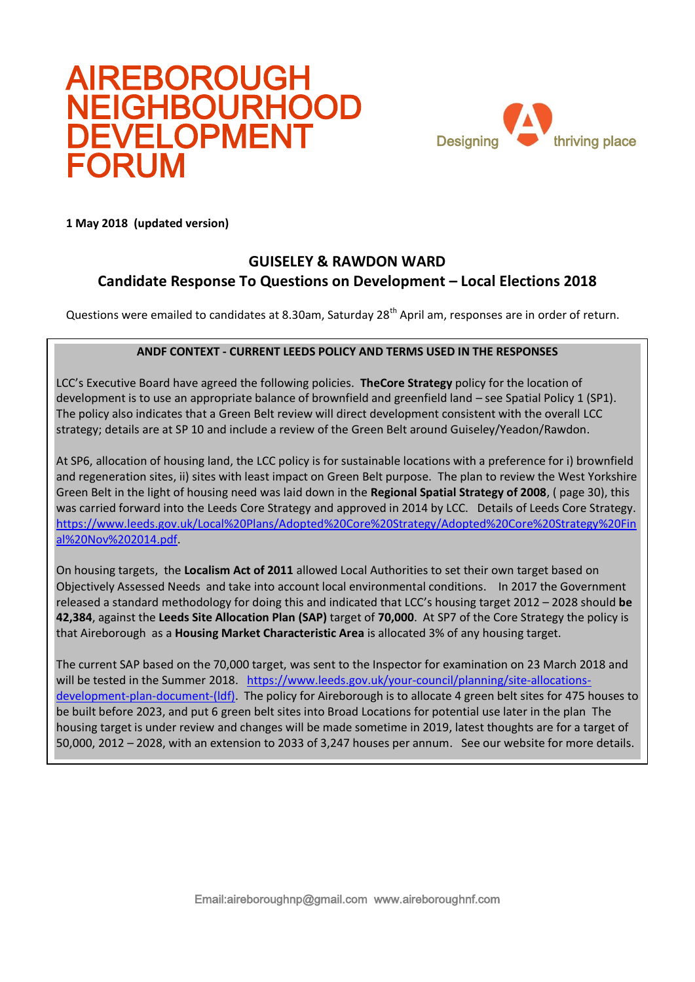# AIREBOROUGH NEIGHBOURHOOD DEVELOPMENT FORUM



**1 May 2018** (updated version)

## **GUISELEY & RAWDON WARD Candidate Response To Questions on Development – Local Elections 2018**

Questions were emailed to candidates at 8.30am, Saturday 28<sup>th</sup> April am, responses are in order of return.

## **ANDF CONTEXT - CURRENT LEEDS POLICY AND TERMS USED IN THE RESPONSES**

LCC's Executive Board have agreed the following policies. **TheCore Strategy** policy for the location of development is to use an appropriate balance of brownfield and greenfield land – see Spatial Policy 1 (SP1). The policy also indicates that a Green Belt review will direct development consistent with the overall LCC strategy; details are at SP 10 and include a review of the Green Belt around Guiseley/Yeadon/Rawdon.

At SP6, allocation of housing land, the LCC policy is for sustainable locations with a preference for i) brownfield and regeneration sites, ii) sites with least impact on Green Belt purpose. The plan to review the West Yorkshire Green Belt in the light of housing need was laid down in the **Regional Spatial Strategy of 2008**, ( page 30), this was carried forward into the Leeds Core Strategy and approved in 2014 by LCC. Details of Leeds Core Strategy. [https://www.leeds.gov.uk/Local%20Plans/Adopted%20Core%20Strategy/Adopted%20Core%20Strategy%20Fin](https://www.leeds.gov.uk/Local%20Plans/Adopted%20Core%20Strategy/Adopted%20Core%20Strategy%20Final%20Nov%202014.pdf) [al%20Nov%202014.pdf.](https://www.leeds.gov.uk/Local%20Plans/Adopted%20Core%20Strategy/Adopted%20Core%20Strategy%20Final%20Nov%202014.pdf)

On housing targets, the **Localism Act of 2011** allowed Local Authorities to set their own target based on Objectively Assessed Needs and take into account local environmental conditions. In 2017 the Government released a standard methodology for doing this and indicated that LCC's housing target 2012 – 2028 should **be 42,384**, against the **Leeds Site Allocation Plan (SAP)** target of **70,000**. At SP7 of the Core Strategy the policy is that Aireborough as a **Housing Market Characteristic Area** is allocated 3% of any housing target.

The current SAP based on the 70,000 target, was sent to the Inspector for examination on 23 March 2018 and will be tested in the Summer 2018. [https://www.leeds.gov.uk/your-council/planning/site-allocations](https://www.leeds.gov.uk/your-council/planning/site-allocations-development-plan-document-(ldf))[development-plan-document-\(ldf\).](https://www.leeds.gov.uk/your-council/planning/site-allocations-development-plan-document-(ldf)) The policy for Aireborough is to allocate 4 green belt sites for 475 houses to be built before 2023, and put 6 green belt sites into Broad Locations for potential use later in the plan The housing target is under review and changes will be made sometime in 2019, latest thoughts are for a target of 50,000, 2012 – 2028, with an extension to 2033 of 3,247 houses per annum. See our website for more details.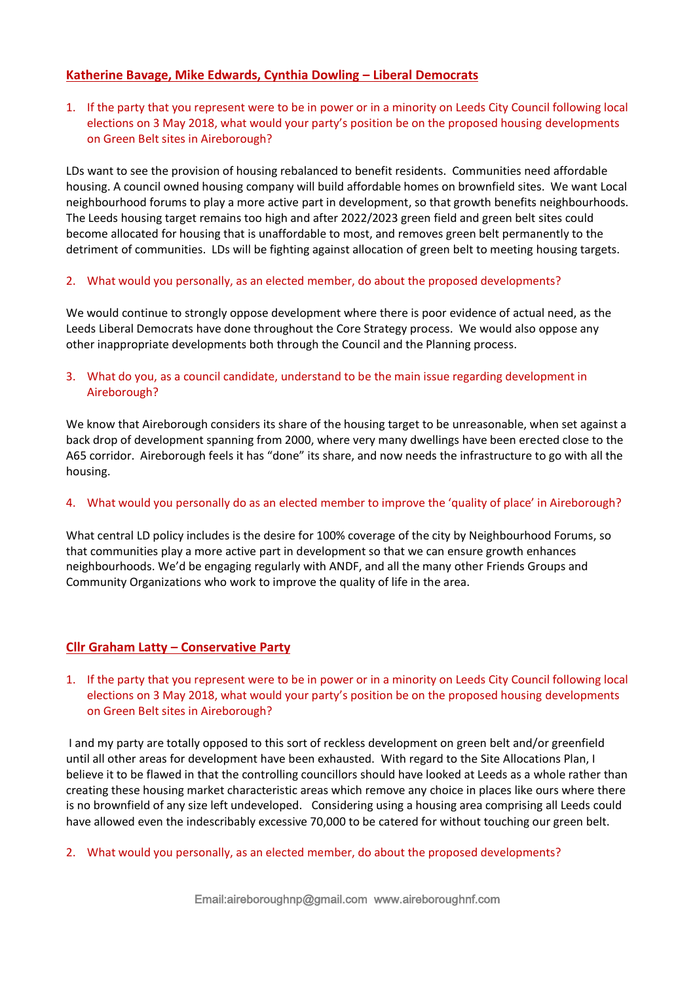## **Katherine Bavage, Mike Edwards, Cynthia Dowling – Liberal Democrats**

1. If the party that you represent were to be in power or in a minority on Leeds City Council following local elections on 3 May 2018, what would your party's position be on the proposed housing developments on Green Belt sites in Aireborough?

LDs want to see the provision of housing rebalanced to benefit residents. Communities need affordable housing. A council owned housing company will build affordable homes on brownfield sites. We want Local neighbourhood forums to play a more active part in development, so that growth benefits neighbourhoods. The Leeds housing target remains too high and after 2022/2023 green field and green belt sites could become allocated for housing that is unaffordable to most, and removes green belt permanently to the detriment of communities. LDs will be fighting against allocation of green belt to meeting housing targets.

## 2. What would you personally, as an elected member, do about the proposed developments?

We would continue to strongly oppose development where there is poor evidence of actual need, as the Leeds Liberal Democrats have done throughout the Core Strategy process. We would also oppose any other inappropriate developments both through the Council and the Planning process.

## 3. What do you, as a council candidate, understand to be the main issue regarding development in Aireborough?

We know that Aireborough considers its share of the housing target to be unreasonable, when set against a back drop of development spanning from 2000, where very many dwellings have been erected close to the A65 corridor. Aireborough feels it has "done" its share, and now needs the infrastructure to go with all the housing.

#### 4. What would you personally do as an elected member to improve the 'quality of place' in Aireborough?

What central LD policy includes is the desire for 100% coverage of the city by Neighbourhood Forums, so that communities play a more active part in development so that we can ensure growth enhances neighbourhoods. We'd be engaging regularly with ANDF, and all the many other Friends Groups and Community Organizations who work to improve the quality of life in the area.

## **Cllr Graham Latty – Conservative Party**

1. If the party that you represent were to be in power or in a minority on Leeds City Council following local elections on 3 May 2018, what would your party's position be on the proposed housing developments on Green Belt sites in Aireborough?

I and my party are totally opposed to this sort of reckless development on green belt and/or greenfield until all other areas for development have been exhausted. With regard to the Site Allocations Plan, I believe it to be flawed in that the controlling councillors should have looked at Leeds as a whole rather than creating these housing market characteristic areas which remove any choice in places like ours where there is no brownfield of any size left undeveloped. Considering using a housing area comprising all Leeds could have allowed even the indescribably excessive 70,000 to be catered for without touching our green belt.

2. What would you personally, as an elected member, do about the proposed developments?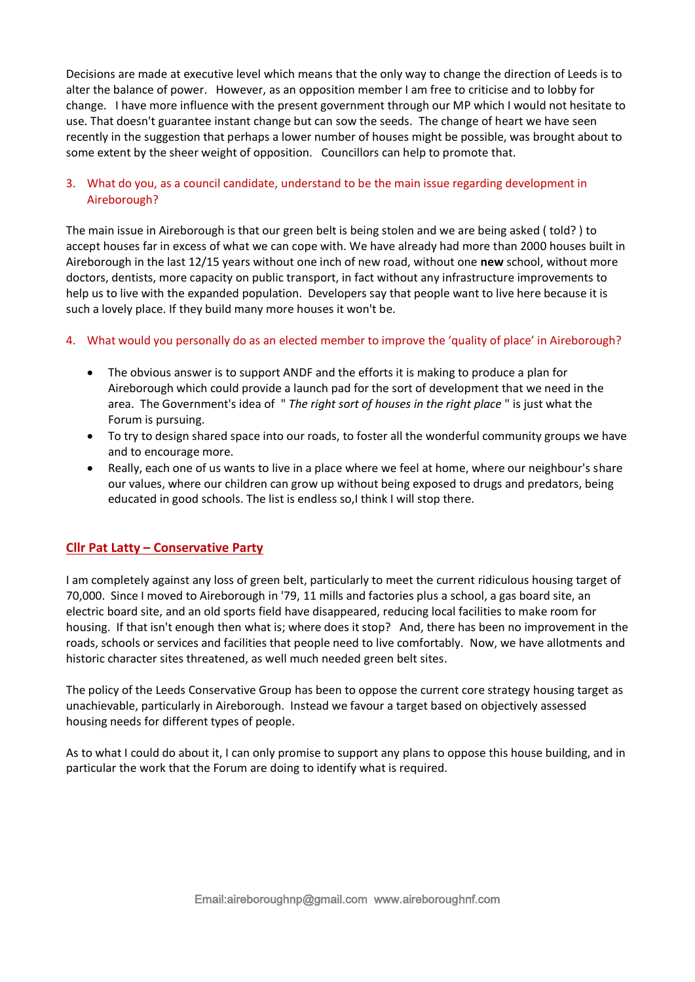Decisions are made at executive level which means that the only way to change the direction of Leeds is to alter the balance of power. However, as an opposition member I am free to criticise and to lobby for change. I have more influence with the present government through our MP which I would not hesitate to use. That doesn't guarantee instant change but can sow the seeds. The change of heart we have seen recently in the suggestion that perhaps a lower number of houses might be possible, was brought about to some extent by the sheer weight of opposition. Councillors can help to promote that.

## 3. What do you, as a council candidate, understand to be the main issue regarding development in Aireborough?

The main issue in Aireborough is that our green belt is being stolen and we are being asked ( told? ) to accept houses far in excess of what we can cope with. We have already had more than 2000 houses built in Aireborough in the last 12/15 years without one inch of new road, without one **new** school, without more doctors, dentists, more capacity on public transport, in fact without any infrastructure improvements to help us to live with the expanded population. Developers say that people want to live here because it is such a lovely place. If they build many more houses it won't be.

## 4. What would you personally do as an elected member to improve the 'quality of place' in Aireborough?

- The obvious answer is to support ANDF and the efforts it is making to produce a plan for Aireborough which could provide a launch pad for the sort of development that we need in the area. The Government's idea of " *The right sort of houses in the right place* " is just what the Forum is pursuing.
- To try to design shared space into our roads, to foster all the wonderful community groups we have and to encourage more.
- Really, each one of us wants to live in a place where we feel at home, where our neighbour's share our values, where our children can grow up without being exposed to drugs and predators, being educated in good schools. The list is endless so,I think I will stop there.

## **Cllr Pat Latty – Conservative Party**

I am completely against any loss of green belt, particularly to meet the current ridiculous housing target of 70,000. Since I moved to Aireborough in '79, 11 mills and factories plus a school, a gas board site, an electric board site, and an old sports field have disappeared, reducing local facilities to make room for housing. If that isn't enough then what is; where does it stop? And, there has been no improvement in the roads, schools or services and facilities that people need to live comfortably. Now, we have allotments and historic character sites threatened, as well much needed green belt sites.

The policy of the Leeds Conservative Group has been to oppose the current core strategy housing target as unachievable, particularly in Aireborough. Instead we favour a target based on objectively assessed housing needs for different types of people.

As to what I could do about it, I can only promise to support any plans to oppose this house building, and in particular the work that the Forum are doing to identify what is required.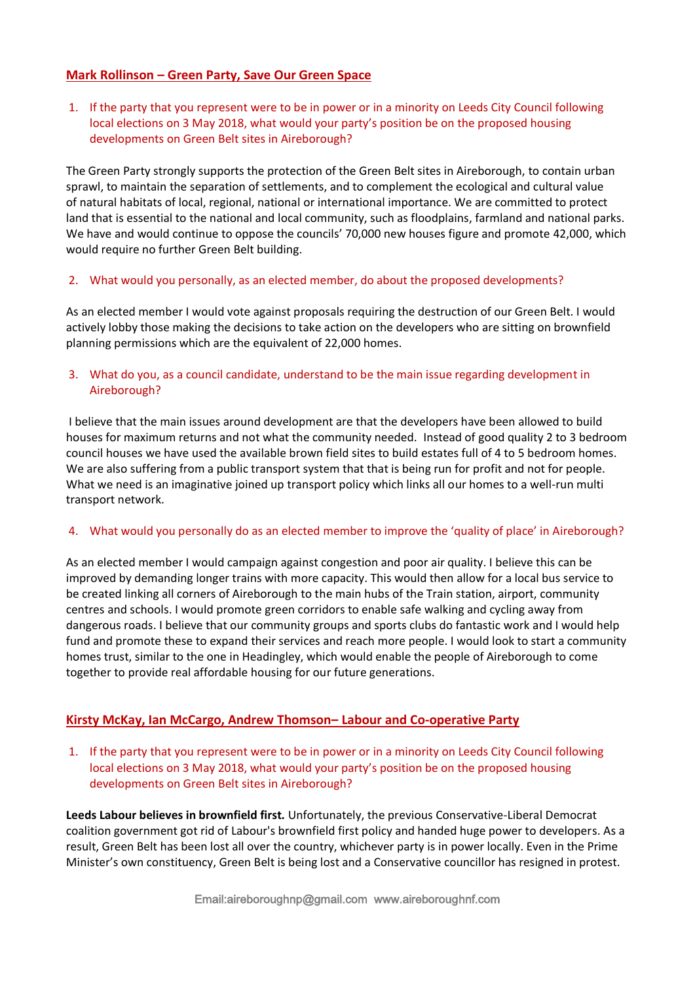## **Mark Rollinson – Green Party, Save Our Green Space**

1. If the party that you represent were to be in power or in a minority on Leeds City Council following local elections on 3 May 2018, what would your party's position be on the proposed housing developments on Green Belt sites in Aireborough?

The Green Party strongly supports the protection of the Green Belt sites in Aireborough, to contain urban sprawl, to maintain the separation of settlements, and to complement the ecological and cultural value of natural habitats of local, regional, national or international importance. We are committed to protect land that is essential to the national and local community, such as floodplains, farmland and national parks. We have and would continue to oppose the councils' 70,000 new houses figure and promote 42,000, which would require no further Green Belt building.

## 2. What would you personally, as an elected member, do about the proposed developments?

As an elected member I would vote against proposals requiring the destruction of our Green Belt. I would actively lobby those making the decisions to take action on the developers who are sitting on brownfield planning permissions which are the equivalent of 22,000 homes.

## 3. What do you, as a council candidate, understand to be the main issue regarding development in Aireborough?

I believe that the main issues around development are that the developers have been allowed to build houses for maximum returns and not what the community needed. Instead of good quality 2 to 3 bedroom council houses we have used the available brown field sites to build estates full of 4 to 5 bedroom homes. We are also suffering from a public transport system that that is being run for profit and not for people. What we need is an imaginative joined up transport policy which links all our homes to a well-run multi transport network.

#### 4. What would you personally do as an elected member to improve the 'quality of place' in Aireborough?

As an elected member I would campaign against congestion and poor air quality. I believe this can be improved by demanding longer trains with more capacity. This would then allow for a local bus service to be created linking all corners of Aireborough to the main hubs of the Train station, airport, community centres and schools. I would promote green corridors to enable safe walking and cycling away from dangerous roads. I believe that our community groups and sports clubs do fantastic work and I would help fund and promote these to expand their services and reach more people. I would look to start a community homes trust, similar to the one in Headingley, which would enable the people of Aireborough to come together to provide real affordable housing for our future generations.

## **Kirsty McKay, Ian McCargo, Andrew Thomson– Labour and Co-operative Party**

1. If the party that you represent were to be in power or in a minority on Leeds City Council following local elections on 3 May 2018, what would your party's position be on the proposed housing developments on Green Belt sites in Aireborough?

**Leeds Labour believes in brownfield first.** Unfortunately, the previous Conservative-Liberal Democrat coalition government got rid of Labour's brownfield first policy and handed huge power to developers. As a result, Green Belt has been lost all over the country, whichever party is in power locally. Even in the Prime Minister's own constituency, Green Belt is being lost and a Conservative councillor has resigned in protest.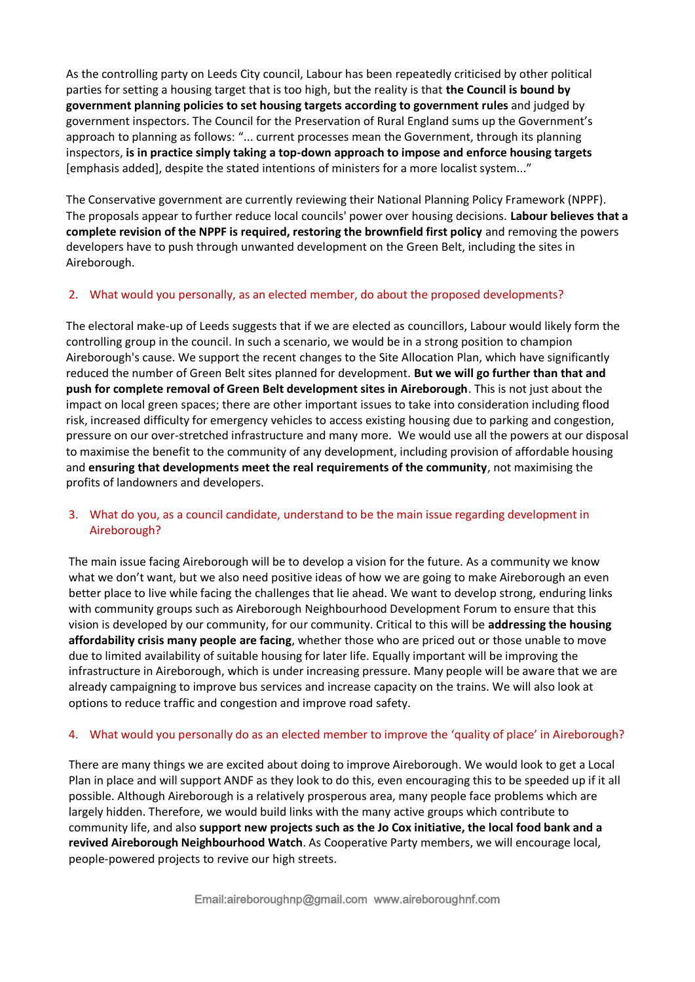As the controlling party on Leeds City council, Labour has been repeatedly criticised by other political parties for setting a housing target that is too high, but the reality is that **the Council is bound by government planning policies to set housing targets according to government rules** and judged by government inspectors. The Council for the Preservation of Rural England sums up the Government's approach to planning as follows: "... current processes mean the Government, through its planning inspectors, **is in practice simply taking a top-down approach to impose and enforce housing targets**  [emphasis added], despite the stated intentions of ministers for a more localist system..."

The Conservative government are currently reviewing their National Planning Policy Framework (NPPF). The proposals appear to further reduce local councils' power over housing decisions. **Labour believes that a complete revision of the NPPF is required, restoring the brownfield first policy** and removing the powers developers have to push through unwanted development on the Green Belt, including the sites in Aireborough.

## 2. What would you personally, as an elected member, do about the proposed developments?

The electoral make-up of Leeds suggests that if we are elected as councillors, Labour would likely form the controlling group in the council. In such a scenario, we would be in a strong position to champion Aireborough's cause. We support the recent changes to the Site Allocation Plan, which have significantly reduced the number of Green Belt sites planned for development. **But we will go further than that and push for complete removal of Green Belt development sites in Aireborough**. This is not just about the impact on local green spaces; there are other important issues to take into consideration including flood risk, increased difficulty for emergency vehicles to access existing housing due to parking and congestion, pressure on our over-stretched infrastructure and many more. We would use all the powers at our disposal to maximise the benefit to the community of any development, including provision of affordable housing and **ensuring that developments meet the real requirements of the community**, not maximising the profits of landowners and developers.

## 3. What do you, as a council candidate, understand to be the main issue regarding development in Aireborough?

The main issue facing Aireborough will be to develop a vision for the future. As a community we know what we don't want, but we also need positive ideas of how we are going to make Aireborough an even better place to live while facing the challenges that lie ahead. We want to develop strong, enduring links with community groups such as Aireborough Neighbourhood Development Forum to ensure that this vision is developed by our community, for our community. Critical to this will be **addressing the housing affordability crisis many people are facing**, whether those who are priced out or those unable to move due to limited availability of suitable housing for later life. Equally important will be improving the infrastructure in Aireborough, which is under increasing pressure. Many people will be aware that we are already campaigning to improve bus services and increase capacity on the trains. We will also look at options to reduce traffic and congestion and improve road safety.

## 4. What would you personally do as an elected member to improve the 'quality of place' in Aireborough?

There are many things we are excited about doing to improve Aireborough. We would look to get a Local Plan in place and will support ANDF as they look to do this, even encouraging this to be speeded up if it all possible. Although Aireborough is a relatively prosperous area, many people face problems which are largely hidden. Therefore, we would build links with the many active groups which contribute to community life, and also **support new projects such as the Jo Cox initiative, the local food bank and a revived Aireborough Neighbourhood Watch**. As Cooperative Party members, we will encourage local, people-powered projects to revive our high streets.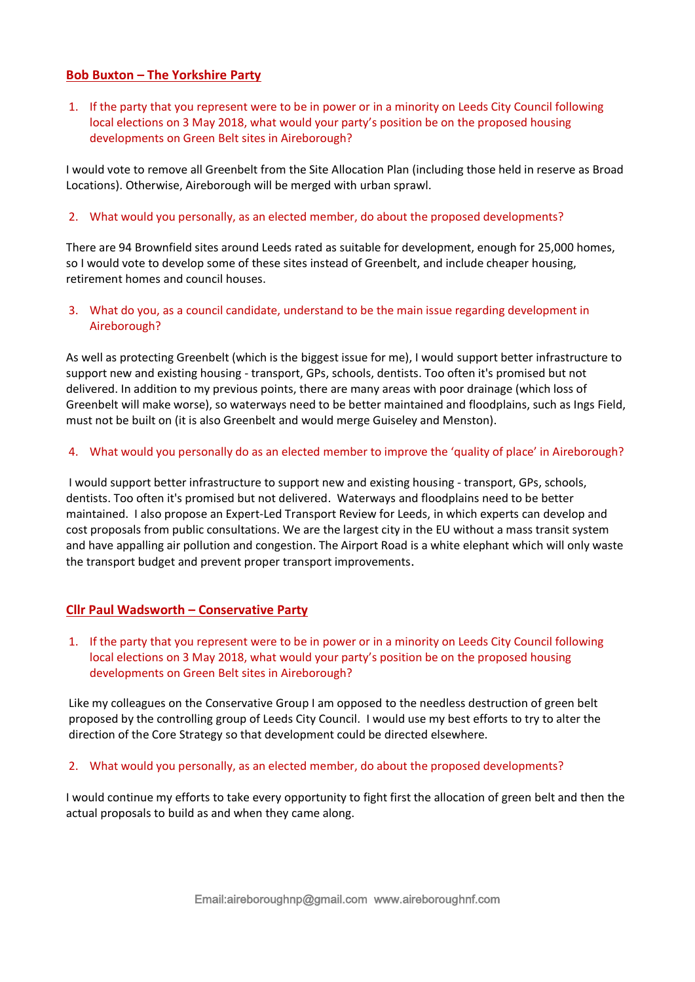## **Bob Buxton – The Yorkshire Party**

1. If the party that you represent were to be in power or in a minority on Leeds City Council following local elections on 3 May 2018, what would your party's position be on the proposed housing developments on Green Belt sites in Aireborough?

I would vote to remove all Greenbelt from the Site Allocation Plan (including those held in reserve as Broad Locations). Otherwise, Aireborough will be merged with urban sprawl.

#### 2. What would you personally, as an elected member, do about the proposed developments?

There are 94 Brownfield sites around Leeds rated as suitable for development, enough for 25,000 homes, so I would vote to develop some of these sites instead of Greenbelt, and include cheaper housing, retirement homes and council houses.

## 3. What do you, as a council candidate, understand to be the main issue regarding development in Aireborough?

As well as protecting Greenbelt (which is the biggest issue for me), I would support better infrastructure to support new and existing housing - transport, GPs, schools, dentists. Too often it's promised but not delivered. In addition to my previous points, there are many areas with poor drainage (which loss of Greenbelt will make worse), so waterways need to be better maintained and floodplains, such as Ings Field, must not be built on (it is also Greenbelt and would merge Guiseley and Menston).

## 4. What would you personally do as an elected member to improve the 'quality of place' in Aireborough?

I would support better infrastructure to support new and existing housing - transport, GPs, schools, dentists. Too often it's promised but not delivered. Waterways and floodplains need to be better maintained. I also propose an Expert-Led Transport Review for Leeds, in which experts can develop and cost proposals from public consultations. We are the largest city in the EU without a mass transit system and have appalling air pollution and congestion. The Airport Road is a white elephant which will only waste the transport budget and prevent proper transport improvements.

## **Cllr Paul Wadsworth – Conservative Party**

1. If the party that you represent were to be in power or in a minority on Leeds City Council following local elections on 3 May 2018, what would your party's position be on the proposed housing developments on Green Belt sites in Aireborough?

Like my colleagues on the Conservative Group I am opposed to the needless destruction of green belt proposed by the controlling group of Leeds City Council. I would use my best efforts to try to alter the direction of the Core Strategy so that development could be directed elsewhere.

## 2. What would you personally, as an elected member, do about the proposed developments?

I would continue my efforts to take every opportunity to fight first the allocation of green belt and then the actual proposals to build as and when they came along.